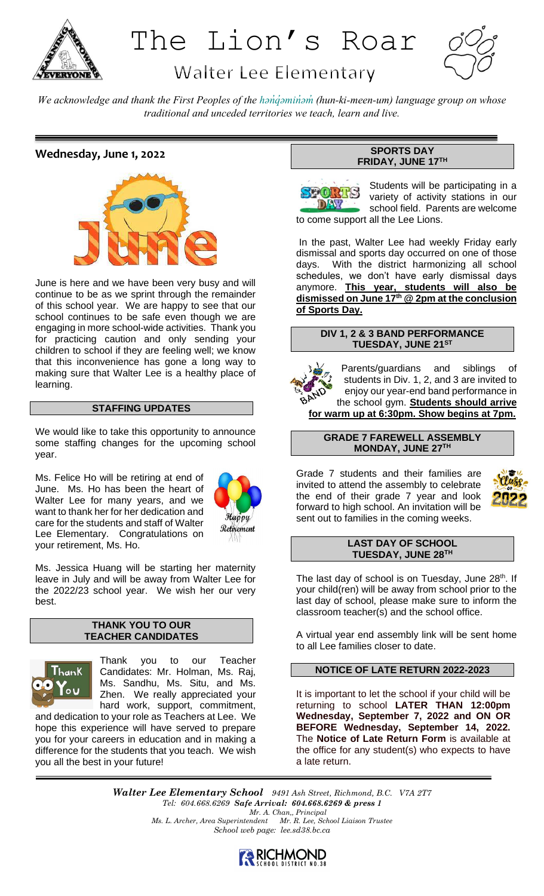

The Lion's Roar

# **Walter Lee Elementary**



*We acknowledge and thank the First Peoples of the hən̓q̓əmin̓əm̓ (hun-ki-meen-um) language group on whose traditional and unceded territories we teach, learn and live.*

# **Wednesday, June 1, 2022**



June is here and we have been very busy and will continue to be as we sprint through the remainder of this school year. We are happy to see that our school continues to be safe even though we are engaging in more school-wide activities. Thank you for practicing caution and only sending your children to school if they are feeling well; we know that this inconvenience has gone a long way to making sure that Walter Lee is a healthy place of learning.

# **STAFFING UPDATES**

We would like to take this opportunity to announce some staffing changes for the upcoming school year.

Ms. Felice Ho will be retiring at end of June. Ms. Ho has been the heart of Walter Lee for many years, and we want to thank her for her dedication and care for the students and staff of Walter Lee Elementary. Congratulations on your retirement, Ms. Ho.



Ms. Jessica Huang will be starting her maternity leave in July and will be away from Walter Lee for the 2022/23 school year. We wish her our very best.

#### **THANK YOU TO OUR TEACHER CANDIDATES**



Thank you to our Teacher Candidates: Mr. Holman, Ms. Raj, Ms. Sandhu, Ms. Situ, and Ms. Zhen. We really appreciated your hard work, support, commitment,

and dedication to your role as Teachers at Lee. We hope this experience will have served to prepare you for your careers in education and in making a difference for the students that you teach. We wish you all the best in your future!

# **SPORTS DAY FRIDAY, JUNE 17TH**



Students will be participating in a variety of activity stations in our school field. Parents are welcome to come support all the Lee Lions.

In the past, Walter Lee had weekly Friday early dismissal and sports day occurred on one of those days. With the district harmonizing all school schedules, we don't have early dismissal days anymore. **This year, students will also be dismissed on June 17th @ 2pm at the conclusion of Sports Day.**

#### **DIV 1, 2 & 3 BAND PERFORMANCE TUESDAY, JUNE 21ST**

Parents/guardians and siblings students in Div. 1, 2, and 3 are invited to enjoy our year-end band performance in the school gym. **Students should arrive for warm up at 6:30pm. Show begins at 7pm.**

#### **GRADE 7 FAREWELL ASSEMBLY MONDAY, JUNE 27TH**

Grade 7 students and their families are invited to attend the assembly to celebrate the end of their grade 7 year and look forward to high school. An invitation will be sent out to families in the coming weeks.



#### **LAST DAY OF SCHOOL TUESDAY, JUNE 28TH**

The last day of school is on Tuesday, June  $28<sup>th</sup>$ . If your child(ren) will be away from school prior to the last day of school, please make sure to inform the classroom teacher(s) and the school office.

A virtual year end assembly link will be sent home to all Lee families closer to date.

#### **NOTICE OF LATE RETURN 2022-2023**

It is important to let the school if your child will be returning to school **LATER THAN 12:00pm Wednesday, September 7, 2022 and ON OR BEFORE Wednesday, September 14, 2022.**  The **Notice of Late Return Form** is available at the office for any student(s) who expects to have a late return.

*Walter Lee Elementary School 9491 Ash Street, Richmond, B.C. V7A 2T7 Tel: 604.668.6269 Safe Arrival: 604.668.6269 & press 1 Mr. A. Chan,, Principal Ms. L. Archer, Area Superintendent Mr. R. Lee, School Liaison Trustee School web page: lee.sd38.bc.ca*

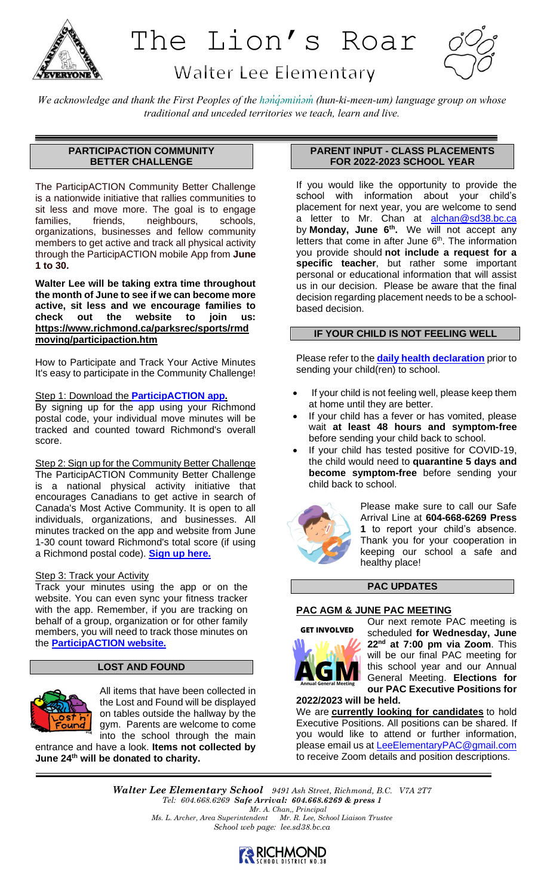

# The Lion's Roar



# **Walter Lee Elementary**

*We acknowledge and thank the First Peoples of the hən̓q̓əmin̓əm̓ (hun-ki-meen-um) language group on whose traditional and unceded territories we teach, learn and live.*

# **PARTICIPACTION COMMUNITY BETTER CHALLENGE**

The ParticipACTION Community Better Challenge is a nationwide initiative that rallies communities to sit less and move more. The goal is to engage families, friends, neighbours, schools, organizations, businesses and fellow community members to get active and track all physical activity through the ParticipACTION mobile App from **June 1 to 30.**

**Walter Lee will be taking extra time throughout the month of June to see if we can become more active, sit less and we encourage families to check out the website to join us: [https://www.richmond.ca/parksrec/sports/rmd](https://www.richmond.ca/parksrec/sports/rmdmoving/participaction.htm) [moving/participaction.htm](https://www.richmond.ca/parksrec/sports/rmdmoving/participaction.htm)**

How to Participate and Track Your Active Minutes It's easy to participate in the Community Challenge!

# Step 1: Download the **[ParticipACTION](https://www.participaction.com/en-ca/programs/app) app.**

By signing up for the app using your Richmond postal code, your individual move minutes will be tracked and counted toward Richmond's overall score.

Step 2: Sign up for the Community Better Challenge The ParticipACTION Community Better Challenge is a national physical activity initiative that encourages Canadians to get active in search of Canada's Most Active Community. It is open to all individuals, organizations, and businesses. All minutes tracked on the app and website from June 1-30 count toward Richmond's total score (if using a Richmond postal code). **[Sign up](https://www.participaction.com/en-ca/programs/community-challenge) here.**

# Step 3: Track your Activity

Track your minutes using the app or on the website. You can even sync your fitness tracker with the app. Remember, if you are tracking on behalf of a group, organization or for other family members, you will need to track those minutes on the **[ParticipACTION](https://www.participaction.com/en-ca/programs/community-challenge) website.**

# **LOST AND FOUND**



All items that have been collected in the Lost and Found will be displayed on tables outside the hallway by the gym. Parents are welcome to come into the school through the main

entrance and have a look. **Items not collected by June 24th will be donated to charity.**

## **PARENT INPUT - CLASS PLACEMENTS FOR 2022-2023 SCHOOL YEAR**

If you would like the opportunity to provide the school with information about your child's placement for next year, you are welcome to send a letter to Mr. Chan at [alchan@sd38.bc.ca](mailto:alchan@sd38.bc.ca) by **Monday, June 6th .** We will not accept any letters that come in after June  $6<sup>th</sup>$ . The information you provide should **not include a request for a specific teacher**, but rather some important personal or educational information that will assist us in our decision. Please be aware that the final decision regarding placement needs to be a schoolbased decision.

#### **IF YOUR CHILD IS NOT FEELING WELL**

Please refer to the **[daily health declaration](http://www.bced.gov.bc.ca/bulletin/20220121/daily-health-check---jan-2022.pdf)** prior to sending your child(ren) to school.

- If your child is not feeling well, please keep them at home until they are better.
- If your child has a fever or has vomited, please wait **at least 48 hours and symptom-free** before sending your child back to school.
- If your child has tested positive for COVID-19, the child would need to **quarantine 5 days and become symptom-free** before sending your child back to school.



Please make sure to call our Safe Arrival Line at **604-668-6269 Press 1** to report your child's absence. Thank you for your cooperation in keeping our school a safe and healthy place!

#### **PAC UPDATES**

# **PAC AGM & JUNE PAC MEETING**





Our next remote PAC meeting is scheduled **for Wednesday, June 22nd at 7:00 pm via Zoom**. This will be our final PAC meeting for this school year and our Annual General Meeting. **Elections for our PAC Executive Positions for** 

**2022/2023 will be held.**

We are **currently looking for candidates** to hold Executive Positions. All positions can be shared. If you would like to attend or further information, please email us at [LeeElementaryPAC@gmail.com](mailto:LeeElementaryPAC@gmail.com) to receive Zoom details and position descriptions.

*Walter Lee Elementary School 9491 Ash Street, Richmond, B.C. V7A 2T7 Tel: 604.668.6269 Safe Arrival: 604.668.6269 & press 1 Mr. A. Chan,, Principal Ms. L. Archer, Area Superintendent Mr. R. Lee, School Liaison Trustee School web page: lee.sd38.bc.ca*